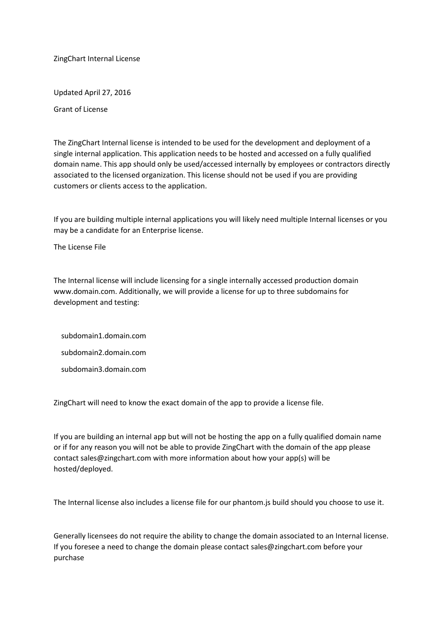ZingChart Internal License

Updated April 27, 2016

Grant of License

The ZingChart Internal license is intended to be used for the development and deployment of a single internal application. This application needs to be hosted and accessed on a fully qualified domain name. This app should only be used/accessed internally by employees or contractors directly associated to the licensed organization. This license should not be used if you are providing customers or clients access to the application.

If you are building multiple internal applications you will likely need multiple Internal licenses or you may be a candidate for an Enterprise license.

The License File

The Internal license will include licensing for a single internally accessed production domain www.domain.com. Additionally, we will provide a license for up to three subdomains for development and testing:

 subdomain1.domain.com subdomain2.domain.com subdomain3.domain.com

ZingChart will need to know the exact domain of the app to provide a license file.

If you are building an internal app but will not be hosting the app on a fully qualified domain name or if for any reason you will not be able to provide ZingChart with the domain of the app please contact sales@zingchart.com with more information about how your app(s) will be hosted/deployed.

The Internal license also includes a license file for our phantom.js build should you choose to use it.

Generally licensees do not require the ability to change the domain associated to an Internal license. If you foresee a need to change the domain please contact sales@zingchart.com before your purchase